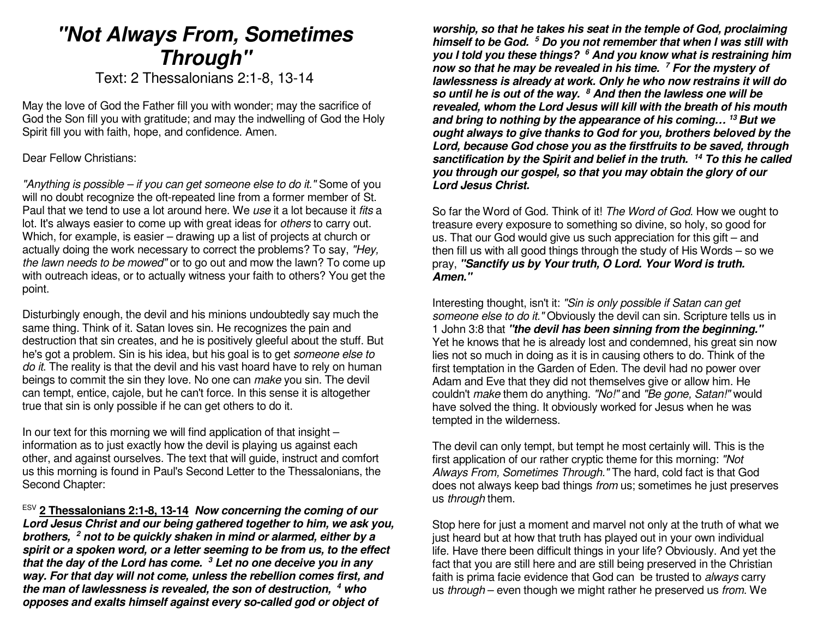# **"Not Always From, Sometimes Through"**

Text: 2 Thessalonians 2:1-8, 13-14

May the love of God the Father fill you with wonder; may the sacrifice of God the Son fill you with gratitude; and may the indwelling of God the Holy Spirit fill you with faith, hope, and confidence. Amen.

Dear Fellow Christians:

"Anything is possible – if you can get someone else to do it." Some of you will no doubt recognize the oft-repeated line from a former member of St. Paul that we tend to use a lot around here. We use it a lot because it *fits* a lot. It's always easier to come up with great ideas for others to carry out. Which, for example, is easier – drawing up a list of projects at church or actually doing the work necessary to correct the problems? To say, "Hey, the lawn needs to be mowed" or to go out and mow the lawn? To come up with outreach ideas, or to actually witness your faith to others? You get the point.

Disturbingly enough, the devil and his minions undoubtedly say much the same thing. Think of it. Satan loves sin. He recognizes the pain and destruction that sin creates, and he is positively gleeful about the stuff. But he's got a problem. Sin is his idea, but his goal is to get someone else to do it. The reality is that the devil and his vast hoard have to rely on human beings to commit the sin they love. No one can make you sin. The devil can tempt, entice, cajole, but he can't force. In this sense it is altogether true that sin is only possible if he can get others to do it.

In our text for this morning we will find application of that insight  $$  information as to just exactly how the devil is playing us against each other, and against ourselves. The text that will guide, instruct and comfort us this morning is found in Paul's Second Letter to the Thessalonians, the Second Chapter:

ESV **2 Thessalonians 2:1-8, 13-14 Now concerning the coming of our Lord Jesus Christ and our being gathered together to him, we ask you, brothers, 2 not to be quickly shaken in mind or alarmed, either by a spirit or a spoken word, or a letter seeming to be from us, to the effect that the day of the Lord has come. 3 Let no one deceive you in any way. For that day will not come, unless the rebellion comes first, and the man of lawlessness is revealed, the son of destruction, <sup>4</sup> who opposes and exalts himself against every so-called god or object of** 

**worship, so that he takes his seat in the temple of God, proclaiming himself to be God. 5 Do you not remember that when I was still with you I told you these things? 6 And you know what is restraining him now so that he may be revealed in his time. 7 For the mystery of lawlessness is already at work. Only he who now restrains it will do so until he is out of the way. <sup>8</sup> And then the lawless one will be revealed, whom the Lord Jesus will kill with the breath of his mouth and bring to nothing by the appearance of his coming… <sup>13</sup>But we ought always to give thanks to God for you, brothers beloved by the Lord, because God chose you as the firstfruits to be saved, through sanctification by the Spirit and belief in the truth. <sup>14</sup> To this he called you through our gospel, so that you may obtain the glory of our Lord Jesus Christ.**

So far the Word of God. Think of it! The Word of God. How we ought to treasure every exposure to something so divine, so holy, so good for us. That our God would give us such appreciation for this gift – and then fill us with all good things through the study of His Words – so we pray, **"Sanctify us by Your truth, O Lord. Your Word is truth. Amen."**

Interesting thought, isn't it: "Sin is only possible if Satan can get someone else to do it." Obviously the devil can sin. Scripture tells us in 1 John 3:8 that **"the devil has been sinning from the beginning."** Yet he knows that he is already lost and condemned, his great sin now lies not so much in doing as it is in causing others to do. Think of the first temptation in the Garden of Eden. The devil had no power over Adam and Eve that they did not themselves give or allow him. He couldn't make them do anything. "No!" and "Be gone, Satan!" would have solved the thing. It obviously worked for Jesus when he was tempted in the wilderness.

The devil can only tempt, but tempt he most certainly will. This is the first application of our rather cryptic theme for this morning: "Not Always From, Sometimes Through." The hard, cold fact is that God does not always keep bad things from us; sometimes he just preserves us through them.

Stop here for just a moment and marvel not only at the truth of what we just heard but at how that truth has played out in your own individual life. Have there been difficult things in your life? Obviously. And yet the fact that you are still here and are still being preserved in the Christian faith is prima facie evidence that God can be trusted to always carry us through – even though we might rather he preserved us from. We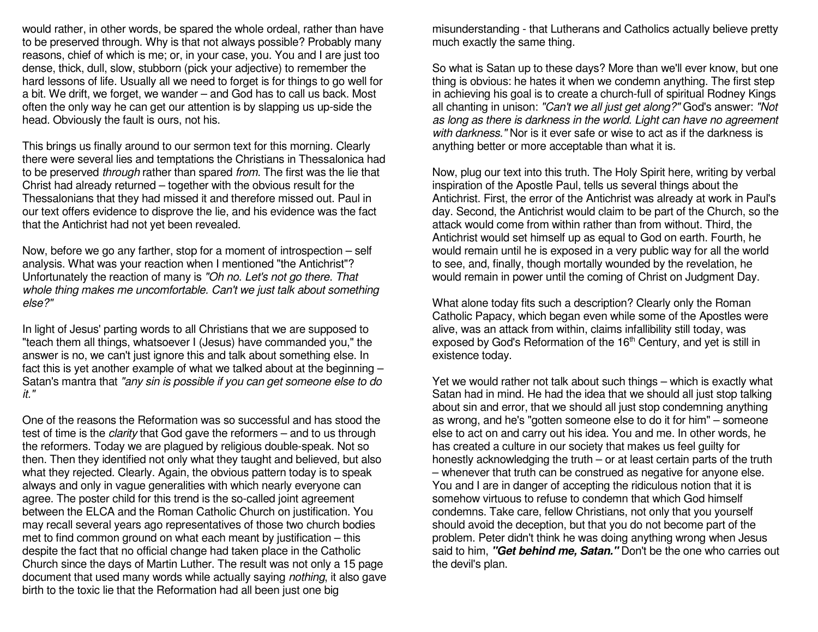would rather, in other words, be spared the whole ordeal, rather than have to be preserved through. Why is that not always possible? Probably many reasons, chief of which is me; or, in your case, you. You and I are just too dense, thick, dull, slow, stubborn (pick your adjective) to remember the hard lessons of life. Usually all we need to forget is for things to go well for a bit. We drift, we forget, we wander – and God has to call us back. Most often the only way he can get our attention is by slapping us up-side the head. Obviously the fault is ours, not his.

This brings us finally around to our sermon text for this morning. Clearly there were several lies and temptations the Christians in Thessalonica had to be preserved through rather than spared from. The first was the lie that Christ had already returned – together with the obvious result for the Thessalonians that they had missed it and therefore missed out. Paul in our text offers evidence to disprove the lie, and his evidence was the fact that the Antichrist had not yet been revealed.

Now, before we go any farther, stop for a moment of introspection – self analysis. What was your reaction when I mentioned "the Antichrist"? Unfortunately the reaction of many is "Oh no. Let's not go there. That whole thing makes me uncomfortable. Can't we just talk about something else?"

In light of Jesus' parting words to all Christians that we are supposed to "teach them all things, whatsoever I (Jesus) have commanded you," the answer is no, we can't just ignore this and talk about something else. In fact this is yet another example of what we talked about at the beginning – Satan's mantra that "any sin is possible if you can get someone else to do it."

One of the reasons the Reformation was so successful and has stood the test of time is the *clarity* that God gave the reformers – and to us through the reformers. Today we are plagued by religious double-speak. Not so then. Then they identified not only what they taught and believed, but also what they rejected. Clearly. Again, the obvious pattern today is to speak always and only in vague generalities with which nearly everyone can agree. The poster child for this trend is the so-called joint agreement between the ELCA and the Roman Catholic Church on justification. You may recall several years ago representatives of those two church bodies met to find common ground on what each meant by justification – this despite the fact that no official change had taken place in the Catholic Church since the days of Martin Luther. The result was not only a 15 page document that used many words while actually saying nothing, it also gave birth to the toxic lie that the Reformation had all been just one big

misunderstanding - that Lutherans and Catholics actually believe pretty much exactly the same thing.

So what is Satan up to these days? More than we'll ever know, but one thing is obvious: he hates it when we condemn anything. The first step in achieving his goal is to create a church-full of spiritual Rodney Kings all chanting in unison: "Can't we all just get along?" God's answer: "Not as long as there is darkness in the world. Light can have no agreement with darkness." Nor is it ever safe or wise to act as if the darkness is anything better or more acceptable than what it is.

Now, plug our text into this truth. The Holy Spirit here, writing by verbal inspiration of the Apostle Paul, tells us several things about the Antichrist. First, the error of the Antichrist was already at work in Paul's day. Second, the Antichrist would claim to be part of the Church, so the attack would come from within rather than from without. Third, the Antichrist would set himself up as equal to God on earth. Fourth, he would remain until he is exposed in a very public way for all the world to see, and, finally, though mortally wounded by the revelation, he would remain in power until the coming of Christ on Judgment Day.

What alone today fits such a description? Clearly only the Roman Catholic Papacy, which began even while some of the Apostles were alive, was an attack from within, claims infallibility still today, was exposed by God's Reformation of the 16<sup>th</sup> Century, and yet is still in existence today.

Yet we would rather not talk about such things – which is exactly what Satan had in mind. He had the idea that we should all just stop talking about sin and error, that we should all just stop condemning anything as wrong, and he's "gotten someone else to do it for him" – someone else to act on and carry out his idea. You and me. In other words, he has created a culture in our society that makes us feel guilty for honestly acknowledging the truth – or at least certain parts of the truth – whenever that truth can be construed as negative for anyone else. You and I are in danger of accepting the ridiculous notion that it is somehow virtuous to refuse to condemn that which God himself condemns. Take care, fellow Christians, not only that you yourself should avoid the deception, but that you do not become part of the problem. Peter didn't think he was doing anything wrong when Jesus said to him, **"Get behind me, Satan."** Don't be the one who carries out the devil's plan.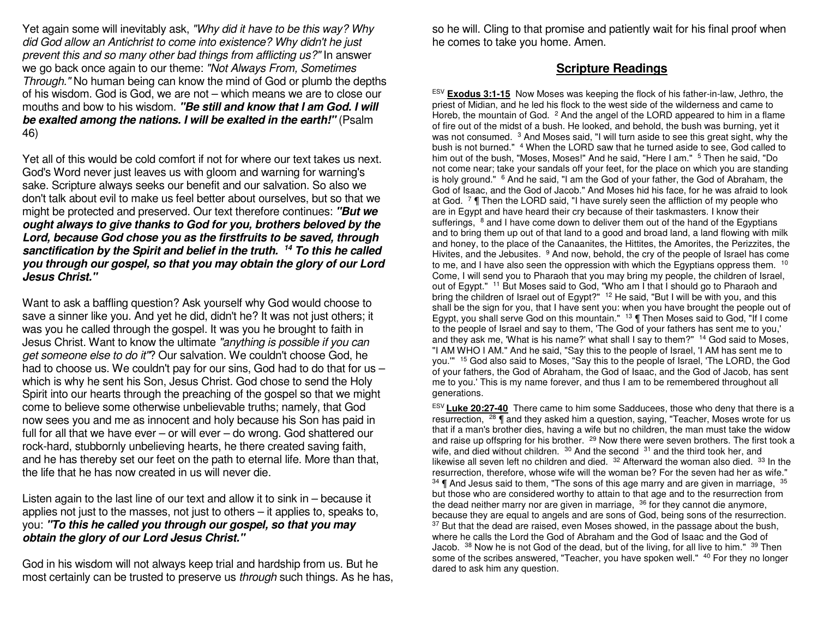Yet again some will inevitably ask, "Why did it have to be this way? Why did God allow an Antichrist to come into existence? Why didn't he just prevent this and so many other bad things from afflicting us?" In answer we go back once again to our theme: "Not Always From, Sometimes" Through." No human being can know the mind of God or plumb the depths of his wisdom. God is God, we are not – which means we are to close our mouths and bow to his wisdom. **"Be still and know that I am God. I will be exalted among the nations. I will be exalted in the earth!"** (Psalm 46)

Yet all of this would be cold comfort if not for where our text takes us next. God's Word never just leaves us with gloom and warning for warning's sake. Scripture always seeks our benefit and our salvation. So also we don't talk about evil to make us feel better about ourselves, but so that we might be protected and preserved. Our text therefore continues: **"But we ought always to give thanks to God for you, brothers beloved by the Lord, because God chose you as the firstfruits to be saved, through sanctification by the Spirit and belief in the truth. <sup>14</sup> To this he called you through our gospel, so that you may obtain the glory of our Lord Jesus Christ."**

Want to ask a baffling question? Ask yourself why God would choose to save a sinner like you. And yet he did, didn't he? It was not just others; it was you he called through the gospel. It was you he brought to faith in Jesus Christ. Want to know the ultimate "anything is possible if you can get someone else to do it"? Our salvation. We couldn't choose God, he had to choose us. We couldn't pay for our sins, God had to do that for us which is why he sent his Son, Jesus Christ. God chose to send the Holy Spirit into our hearts through the preaching of the gospel so that we might come to believe some otherwise unbelievable truths; namely, that God now sees you and me as innocent and holy because his Son has paid in full for all that we have ever – or will ever – do wrong. God shattered our rock-hard, stubbornly unbelieving hearts, he there created saving faith, and he has thereby set our feet on the path to eternal life. More than that, the life that he has now created in us will never die.

Listen again to the last line of our text and allow it to sink in – because it applies not just to the masses, not just to others – it applies to, speaks to, you: **"To this he called you through our gospel, so that you may obtain the glory of our Lord Jesus Christ."**

God in his wisdom will not always keep trial and hardship from us. But he most certainly can be trusted to preserve us through such things. As he has, so he will. Cling to that promise and patiently wait for his final proof when he comes to take you home. Amen.

#### **Scripture Readings**

ESV **Exodus 3:1-15** Now Moses was keeping the flock of his father-in-law, Jethro, the priest of Midian, and he led his flock to the west side of the wilderness and came to Horeb, the mountain of God.  $2$  And the angel of the LORD appeared to him in a flame of fire out of the midst of a bush. He looked, and behold, the bush was burning, yet it was not consumed. <sup>3</sup> And Moses said, "I will turn aside to see this great sight, why the bush is not burned." <sup>4</sup> When the LORD saw that he turned aside to see, God called to him out of the bush, "Moses, Moses!" And he said, "Here I am." 5 Then he said, "Do not come near; take your sandals off your feet, for the place on which you are standing is holy ground." <sup>6</sup> And he said, "I am the God of your father, the God of Abraham, the God of Isaac, and the God of Jacob." And Moses hid his face, for he was afraid to look at God.  $\sqrt{7}$  Then the LORD said, "I have surely seen the affliction of my people who are in Egypt and have heard their cry because of their taskmasters. I know their sufferings, <sup>8</sup> and I have come down to deliver them out of the hand of the Egyptians and to bring them up out of that land to a good and broad land, a land flowing with milk and honey, to the place of the Canaanites, the Hittites, the Amorites, the Perizzites, the Hivites, and the Jebusites. <sup>9</sup> And now, behold, the cry of the people of Israel has come to me, and I have also seen the oppression with which the Egyptians oppress them.  $10$ Come, I will send you to Pharaoh that you may bring my people, the children of Israel, out of Egypt." <sup>11</sup> But Moses said to God, "Who am I that I should go to Pharaoh and bring the children of Israel out of Egypt?" <sup>12</sup> He said, "But I will be with you, and this shall be the sign for you, that I have sent you: when you have brought the people out of Egypt, you shall serve God on this mountain." 13 ¶ Then Moses said to God, "If I come to the people of Israel and say to them, 'The God of your fathers has sent me to you,' and they ask me, 'What is his name?' what shall I say to them?" <sup>14</sup> God said to Moses, "I AM WHO I AM." And he said, "Say this to the people of Israel, 'I AM has sent me to you."" <sup>15</sup> God also said to Moses, "Say this to the people of Israel, 'The LORD, the God of your fathers, the God of Abraham, the God of Isaac, and the God of Jacob, has sent me to you.' This is my name forever, and thus I am to be remembered throughout all generations.

ESV **Luke 20:27-40** There came to him some Sadducees, those who deny that there is a resurrection, 28 ¶ and they asked him a question, saying, "Teacher, Moses wrote for us that if a man's brother dies, having a wife but no children, the man must take the widow and raise up offspring for his brother. <sup>29</sup> Now there were seven brothers. The first took a wife, and died without children. <sup>30</sup> And the second <sup>31</sup> and the third took her, and likewise all seven left no children and died.  $32$  Afterward the woman also died.  $33$  In the resurrection, therefore, whose wife will the woman be? For the seven had her as wife."  $34$  ¶ And Jesus said to them, "The sons of this age marry and are given in marriage,  $35$ but those who are considered worthy to attain to that age and to the resurrection from the dead neither marry nor are given in marriage,  $36$  for they cannot die anymore, because they are equal to angels and are sons of God, being sons of the resurrection. <sup>37</sup> But that the dead are raised, even Moses showed, in the passage about the bush, where he calls the Lord the God of Abraham and the God of Isaac and the God of Jacob. <sup>38</sup> Now he is not God of the dead, but of the living, for all live to him." <sup>39</sup> Then some of the scribes answered, "Teacher, you have spoken well." <sup>40</sup> For they no longer dared to ask him any question.